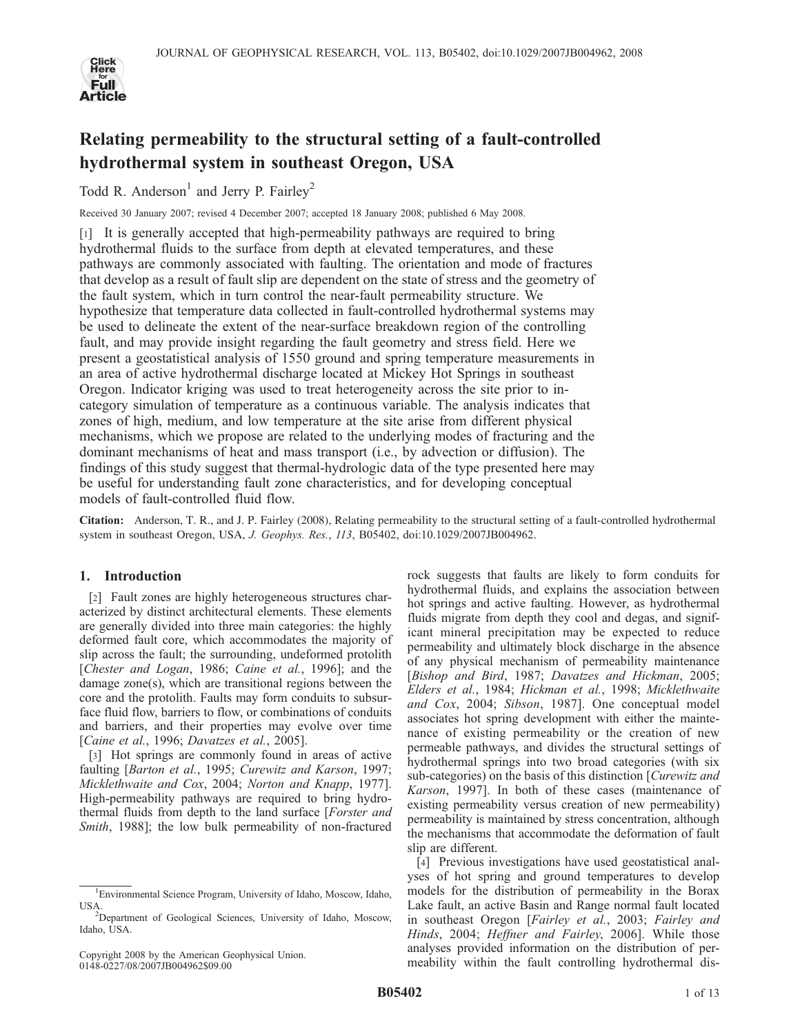

# Relating permeability to the structural setting of a fault-controlled hydrothermal system in southeast Oregon, USA

Todd R. Anderson<sup>1</sup> and Jerry P. Fairley<sup>2</sup>

Received 30 January 2007; revised 4 December 2007; accepted 18 January 2008; published 6 May 2008.

[1] It is generally accepted that high-permeability pathways are required to bring hydrothermal fluids to the surface from depth at elevated temperatures, and these pathways are commonly associated with faulting. The orientation and mode of fractures that develop as a result of fault slip are dependent on the state of stress and the geometry of the fault system, which in turn control the near-fault permeability structure. We hypothesize that temperature data collected in fault-controlled hydrothermal systems may be used to delineate the extent of the near-surface breakdown region of the controlling fault, and may provide insight regarding the fault geometry and stress field. Here we present a geostatistical analysis of 1550 ground and spring temperature measurements in an area of active hydrothermal discharge located at Mickey Hot Springs in southeast Oregon. Indicator kriging was used to treat heterogeneity across the site prior to incategory simulation of temperature as a continuous variable. The analysis indicates that zones of high, medium, and low temperature at the site arise from different physical mechanisms, which we propose are related to the underlying modes of fracturing and the dominant mechanisms of heat and mass transport (i.e., by advection or diffusion). The findings of this study suggest that thermal-hydrologic data of the type presented here may be useful for understanding fault zone characteristics, and for developing conceptual models of fault-controlled fluid flow.

Citation: Anderson, T. R., and J. P. Fairley (2008), Relating permeability to the structural setting of a fault-controlled hydrothermal system in southeast Oregon, USA, J. Geophys. Res., 113, B05402, doi:10.1029/2007JB004962.

# 1. Introduction

[2] Fault zones are highly heterogeneous structures characterized by distinct architectural elements. These elements are generally divided into three main categories: the highly deformed fault core, which accommodates the majority of slip across the fault; the surrounding, undeformed protolith [Chester and Logan, 1986; Caine et al., 1996]; and the damage zone(s), which are transitional regions between the core and the protolith. Faults may form conduits to subsurface fluid flow, barriers to flow, or combinations of conduits and barriers, and their properties may evolve over time [Caine et al., 1996; Davatzes et al., 2005].

[3] Hot springs are commonly found in areas of active faulting [Barton et al., 1995; Curewitz and Karson, 1997; Micklethwaite and Cox, 2004; Norton and Knapp, 1977]. High-permeability pathways are required to bring hydrothermal fluids from depth to the land surface [Forster and Smith, 1988]; the low bulk permeability of non-fractured rock suggests that faults are likely to form conduits for hydrothermal fluids, and explains the association between hot springs and active faulting. However, as hydrothermal fluids migrate from depth they cool and degas, and significant mineral precipitation may be expected to reduce permeability and ultimately block discharge in the absence of any physical mechanism of permeability maintenance [Bishop and Bird, 1987; Davatzes and Hickman, 2005; Elders et al., 1984; Hickman et al., 1998; Micklethwaite and Cox, 2004; Sibson, 1987]. One conceptual model associates hot spring development with either the maintenance of existing permeability or the creation of new permeable pathways, and divides the structural settings of hydrothermal springs into two broad categories (with six sub-categories) on the basis of this distinction [Curewitz and Karson, 1997]. In both of these cases (maintenance of existing permeability versus creation of new permeability) permeability is maintained by stress concentration, although the mechanisms that accommodate the deformation of fault slip are different.

[4] Previous investigations have used geostatistical analyses of hot spring and ground temperatures to develop models for the distribution of permeability in the Borax Lake fault, an active Basin and Range normal fault located in southeast Oregon [Fairley et al., 2003; Fairley and Hinds, 2004; Heffner and Fairley, 2006]. While those analyses provided information on the distribution of permeability within the fault controlling hydrothermal dis-

<sup>1</sup> Environmental Science Program, University of Idaho, Moscow, Idaho, USA.

Department of Geological Sciences, University of Idaho, Moscow, Idaho, USA.

Copyright 2008 by the American Geophysical Union. 0148-0227/08/2007JB004962\$09.00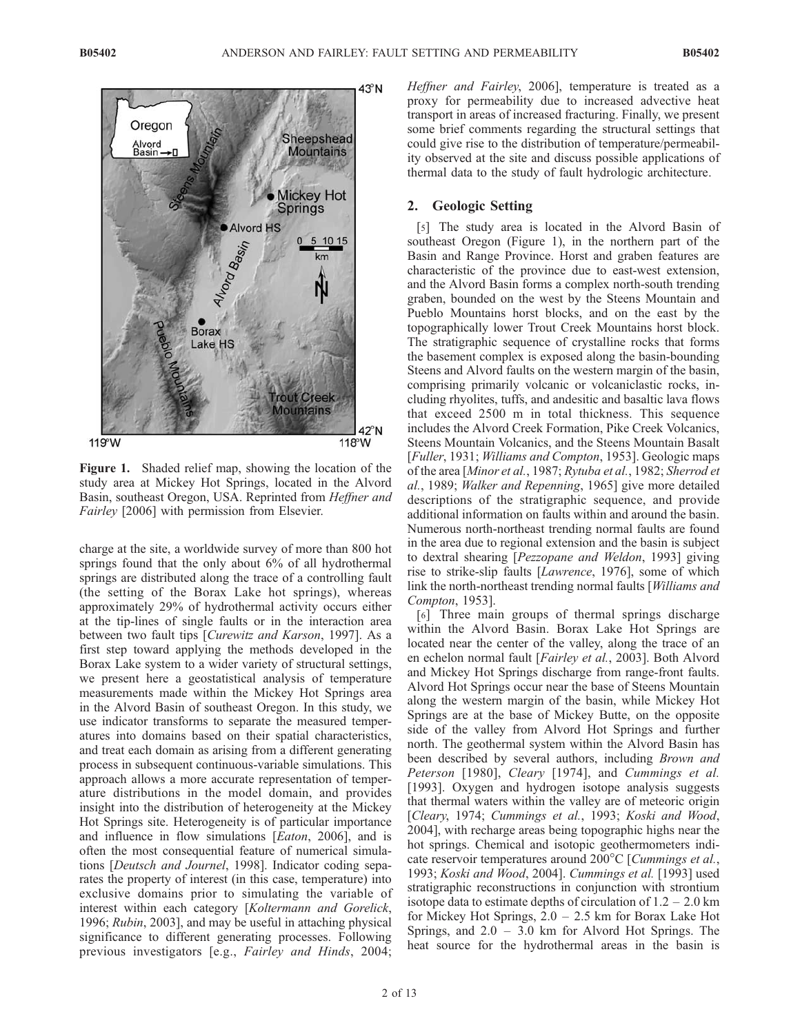

Figure 1. Shaded relief map, showing the location of the study area at Mickey Hot Springs, located in the Alvord Basin, southeast Oregon, USA. Reprinted from Heffner and Fairley [2006] with permission from Elsevier.

charge at the site, a worldwide survey of more than 800 hot springs found that the only about 6% of all hydrothermal springs are distributed along the trace of a controlling fault (the setting of the Borax Lake hot springs), whereas approximately 29% of hydrothermal activity occurs either at the tip-lines of single faults or in the interaction area between two fault tips [Curewitz and Karson, 1997]. As a first step toward applying the methods developed in the Borax Lake system to a wider variety of structural settings, we present here a geostatistical analysis of temperature measurements made within the Mickey Hot Springs area in the Alvord Basin of southeast Oregon. In this study, we use indicator transforms to separate the measured temperatures into domains based on their spatial characteristics, and treat each domain as arising from a different generating process in subsequent continuous-variable simulations. This approach allows a more accurate representation of temperature distributions in the model domain, and provides insight into the distribution of heterogeneity at the Mickey Hot Springs site. Heterogeneity is of particular importance and influence in flow simulations [Eaton, 2006], and is often the most consequential feature of numerical simulations [Deutsch and Journel, 1998]. Indicator coding separates the property of interest (in this case, temperature) into exclusive domains prior to simulating the variable of interest within each category [Koltermann and Gorelick, 1996; Rubin, 2003], and may be useful in attaching physical significance to different generating processes. Following previous investigators [e.g., Fairley and Hinds, 2004;

Heffner and Fairley, 2006], temperature is treated as a proxy for permeability due to increased advective heat transport in areas of increased fracturing. Finally, we present some brief comments regarding the structural settings that could give rise to the distribution of temperature/permeability observed at the site and discuss possible applications of thermal data to the study of fault hydrologic architecture.

# 2. Geologic Setting

[5] The study area is located in the Alvord Basin of southeast Oregon (Figure 1), in the northern part of the Basin and Range Province. Horst and graben features are characteristic of the province due to east-west extension, and the Alvord Basin forms a complex north-south trending graben, bounded on the west by the Steens Mountain and Pueblo Mountains horst blocks, and on the east by the topographically lower Trout Creek Mountains horst block. The stratigraphic sequence of crystalline rocks that forms the basement complex is exposed along the basin-bounding Steens and Alvord faults on the western margin of the basin, comprising primarily volcanic or volcaniclastic rocks, including rhyolites, tuffs, and andesitic and basaltic lava flows that exceed 2500 m in total thickness. This sequence includes the Alvord Creek Formation, Pike Creek Volcanics, Steens Mountain Volcanics, and the Steens Mountain Basalt [Fuller, 1931; Williams and Compton, 1953]. Geologic maps of the area [Minor et al., 1987; Rytuba et al., 1982; Sherrod et al., 1989; Walker and Repenning, 1965] give more detailed descriptions of the stratigraphic sequence, and provide additional information on faults within and around the basin. Numerous north-northeast trending normal faults are found in the area due to regional extension and the basin is subject to dextral shearing [Pezzopane and Weldon, 1993] giving rise to strike-slip faults [Lawrence, 1976], some of which link the north-northeast trending normal faults [Williams and Compton, 1953].

[6] Three main groups of thermal springs discharge within the Alvord Basin. Borax Lake Hot Springs are located near the center of the valley, along the trace of an en echelon normal fault [Fairley et al., 2003]. Both Alvord and Mickey Hot Springs discharge from range-front faults. Alvord Hot Springs occur near the base of Steens Mountain along the western margin of the basin, while Mickey Hot Springs are at the base of Mickey Butte, on the opposite side of the valley from Alvord Hot Springs and further north. The geothermal system within the Alvord Basin has been described by several authors, including *Brown and* Peterson [1980], Cleary [1974], and Cummings et al. [1993]. Oxygen and hydrogen isotope analysis suggests that thermal waters within the valley are of meteoric origin [Cleary, 1974; Cummings et al., 1993; Koski and Wood, 2004], with recharge areas being topographic highs near the hot springs. Chemical and isotopic geothermometers indicate reservoir temperatures around  $200^{\circ}$ C [*Cummings et al.*, 1993; Koski and Wood, 2004]. Cummings et al. [1993] used stratigraphic reconstructions in conjunction with strontium isotope data to estimate depths of circulation of  $1.2 - 2.0$  km for Mickey Hot Springs, 2.0 – 2.5 km for Borax Lake Hot Springs, and 2.0 – 3.0 km for Alvord Hot Springs. The heat source for the hydrothermal areas in the basin is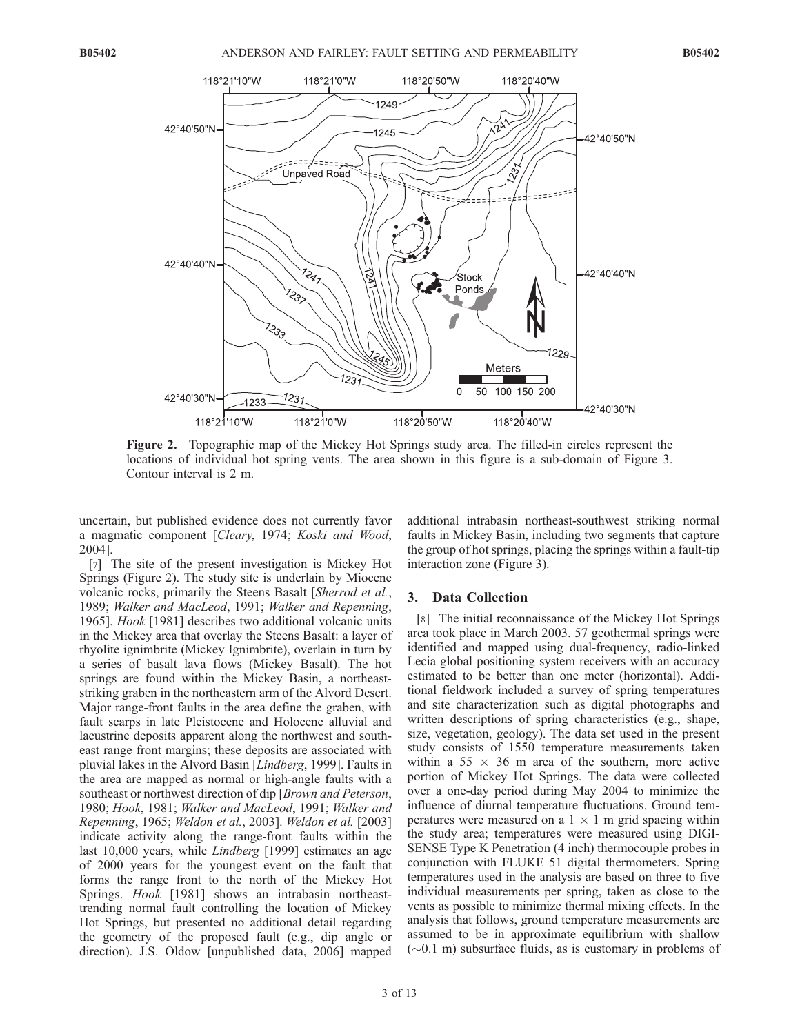#### B05402 ANDERSON AND FAIRLEY: FAULT SETTING AND PERMEABILITY



Figure 2. Topographic map of the Mickey Hot Springs study area. The filled-in circles represent the locations of individual hot spring vents. The area shown in this figure is a sub-domain of Figure 3. Contour interval is 2 m.

uncertain, but published evidence does not currently favor a magmatic component [Cleary, 1974; Koski and Wood, 2004].

[7] The site of the present investigation is Mickey Hot Springs (Figure 2). The study site is underlain by Miocene volcanic rocks, primarily the Steens Basalt [Sherrod et al., 1989; Walker and MacLeod, 1991; Walker and Repenning, 1965]. Hook [1981] describes two additional volcanic units in the Mickey area that overlay the Steens Basalt: a layer of rhyolite ignimbrite (Mickey Ignimbrite), overlain in turn by a series of basalt lava flows (Mickey Basalt). The hot springs are found within the Mickey Basin, a northeaststriking graben in the northeastern arm of the Alvord Desert. Major range-front faults in the area define the graben, with fault scarps in late Pleistocene and Holocene alluvial and lacustrine deposits apparent along the northwest and southeast range front margins; these deposits are associated with pluvial lakes in the Alvord Basin [Lindberg, 1999]. Faults in the area are mapped as normal or high-angle faults with a southeast or northwest direction of dip [Brown and Peterson, 1980; Hook, 1981; Walker and MacLeod, 1991; Walker and Repenning, 1965; Weldon et al., 2003]. Weldon et al. [2003] indicate activity along the range-front faults within the last 10,000 years, while *Lindberg* [1999] estimates an age of 2000 years for the youngest event on the fault that forms the range front to the north of the Mickey Hot Springs. Hook [1981] shows an intrabasin northeasttrending normal fault controlling the location of Mickey Hot Springs, but presented no additional detail regarding the geometry of the proposed fault (e.g., dip angle or direction). J.S. Oldow [unpublished data, 2006] mapped

additional intrabasin northeast-southwest striking normal faults in Mickey Basin, including two segments that capture the group of hot springs, placing the springs within a fault-tip interaction zone (Figure 3).

### 3. Data Collection

[8] The initial reconnaissance of the Mickey Hot Springs area took place in March 2003. 57 geothermal springs were identified and mapped using dual-frequency, radio-linked Lecia global positioning system receivers with an accuracy estimated to be better than one meter (horizontal). Additional fieldwork included a survey of spring temperatures and site characterization such as digital photographs and written descriptions of spring characteristics (e.g., shape, size, vegetation, geology). The data set used in the present study consists of 1550 temperature measurements taken within a 55  $\times$  36 m area of the southern, more active portion of Mickey Hot Springs. The data were collected over a one-day period during May 2004 to minimize the influence of diurnal temperature fluctuations. Ground temperatures were measured on a  $1 \times 1$  m grid spacing within the study area; temperatures were measured using DIGI-SENSE Type K Penetration (4 inch) thermocouple probes in conjunction with FLUKE 51 digital thermometers. Spring temperatures used in the analysis are based on three to five individual measurements per spring, taken as close to the vents as possible to minimize thermal mixing effects. In the analysis that follows, ground temperature measurements are assumed to be in approximate equilibrium with shallow  $(\sim 0.1 \text{ m})$  subsurface fluids, as is customary in problems of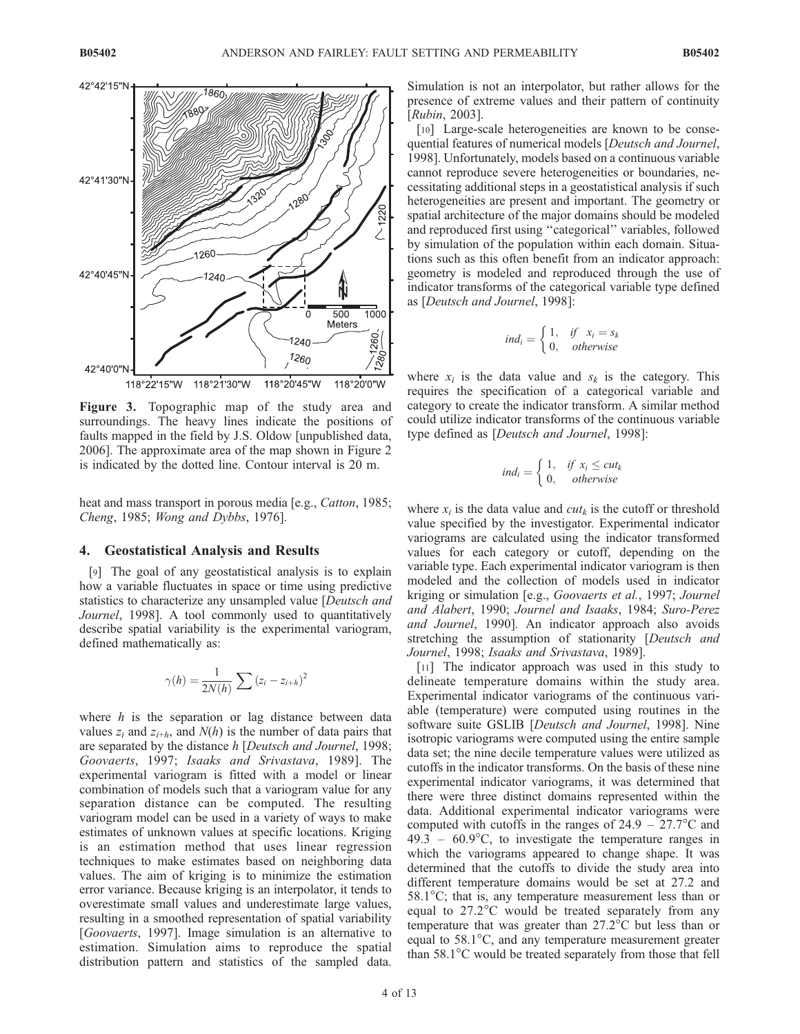

Figure 3. Topographic map of the study area and surroundings. The heavy lines indicate the positions of faults mapped in the field by J.S. Oldow [unpublished data, 2006]. The approximate area of the map shown in Figure 2 is indicated by the dotted line. Contour interval is 20 m.

heat and mass transport in porous media [e.g., *Catton*, 1985; Cheng, 1985; Wong and Dybbs, 1976].

#### 4. Geostatistical Analysis and Results

[9] The goal of any geostatistical analysis is to explain how a variable fluctuates in space or time using predictive statistics to characterize any unsampled value [Deutsch and Journel, 1998]. A tool commonly used to quantitatively describe spatial variability is the experimental variogram, defined mathematically as:

$$
\gamma(h) = \frac{1}{2N(h)} \sum (z_i - z_{i+h})^2
$$

where  $h$  is the separation or lag distance between data values  $z_i$  and  $z_{i+h}$ , and  $N(h)$  is the number of data pairs that are separated by the distance h [Deutsch and Journel, 1998; Goovaerts, 1997; Isaaks and Srivastava, 1989]. The experimental variogram is fitted with a model or linear combination of models such that a variogram value for any separation distance can be computed. The resulting variogram model can be used in a variety of ways to make estimates of unknown values at specific locations. Kriging is an estimation method that uses linear regression techniques to make estimates based on neighboring data values. The aim of kriging is to minimize the estimation error variance. Because kriging is an interpolator, it tends to overestimate small values and underestimate large values, resulting in a smoothed representation of spatial variability [Goovaerts, 1997]. Image simulation is an alternative to estimation. Simulation aims to reproduce the spatial distribution pattern and statistics of the sampled data.

Simulation is not an interpolator, but rather allows for the presence of extreme values and their pattern of continuity [Rubin, 2003].

[10] Large-scale heterogeneities are known to be consequential features of numerical models [Deutsch and Journel, 1998]. Unfortunately, models based on a continuous variable cannot reproduce severe heterogeneities or boundaries, necessitating additional steps in a geostatistical analysis if such heterogeneities are present and important. The geometry or spatial architecture of the major domains should be modeled and reproduced first using ''categorical'' variables, followed by simulation of the population within each domain. Situations such as this often benefit from an indicator approach: geometry is modeled and reproduced through the use of indicator transforms of the categorical variable type defined as [Deutsch and Journel, 1998]:

$$
ind_i = \begin{cases} 1, & if \quad x_i = s_k \\ 0, & otherwise \end{cases}
$$

where  $x_i$  is the data value and  $s_k$  is the category. This requires the specification of a categorical variable and category to create the indicator transform. A similar method could utilize indicator transforms of the continuous variable type defined as [Deutsch and Journel, 1998]:

$$
ind_i = \begin{cases} 1, & if \ x_i \leq cut_k \\ 0, & otherwise \end{cases}
$$

where  $x_i$  is the data value and  $cut_k$  is the cutoff or threshold value specified by the investigator. Experimental indicator variograms are calculated using the indicator transformed values for each category or cutoff, depending on the variable type. Each experimental indicator variogram is then modeled and the collection of models used in indicator kriging or simulation [e.g., Goovaerts et al., 1997; Journel and Alabert, 1990; Journel and Isaaks, 1984; Suro-Perez and Journel, 1990]. An indicator approach also avoids stretching the assumption of stationarity [Deutsch and Journel, 1998; Isaaks and Srivastava, 1989].

[11] The indicator approach was used in this study to delineate temperature domains within the study area. Experimental indicator variograms of the continuous variable (temperature) were computed using routines in the software suite GSLIB [Deutsch and Journel, 1998]. Nine isotropic variograms were computed using the entire sample data set; the nine decile temperature values were utilized as cutoffs in the indicator transforms. On the basis of these nine experimental indicator variograms, it was determined that there were three distinct domains represented within the data. Additional experimental indicator variograms were computed with cutoffs in the ranges of  $24.9 - 27.7$ °C and  $49.3 - 60.9$ °C, to investigate the temperature ranges in which the variograms appeared to change shape. It was determined that the cutoffs to divide the study area into different temperature domains would be set at 27.2 and  $58.1^{\circ}$ C; that is, any temperature measurement less than or equal to 27.2°C would be treated separately from any temperature that was greater than  $27.2^{\circ}$ C but less than or equal to  $58.1^{\circ}$ C, and any temperature measurement greater than  $58.1^{\circ}$ C would be treated separately from those that fell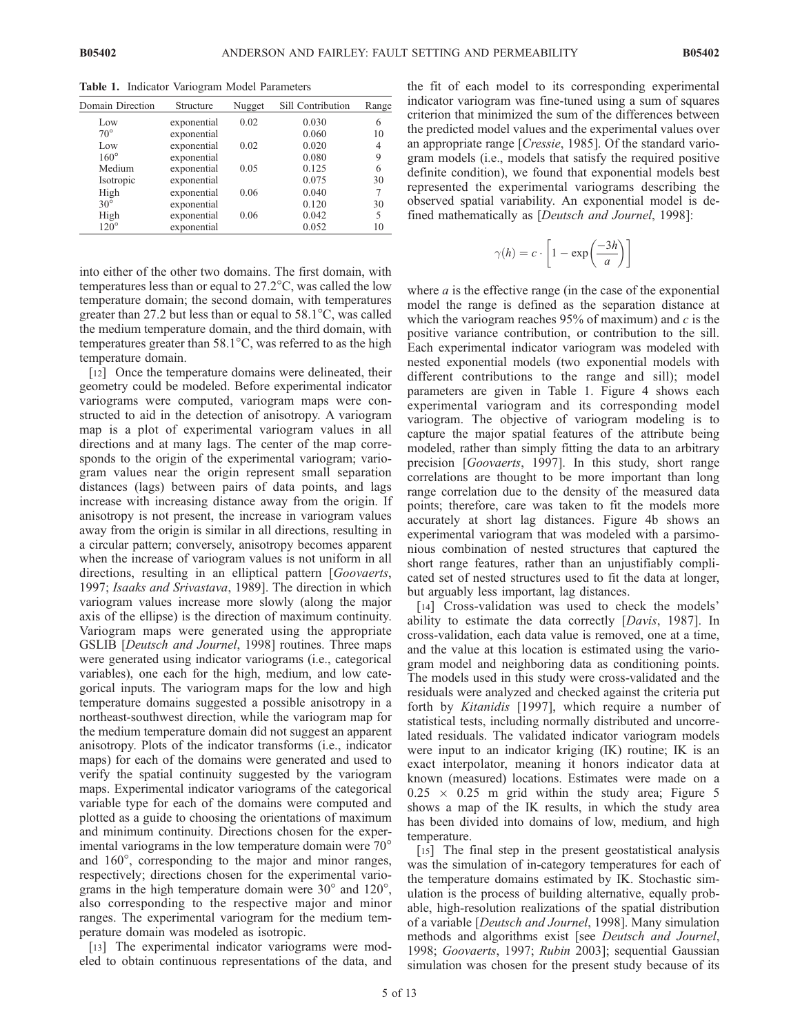Domain Direction Structure Nugget Sill Contribution Range Low exponential  $0.02$   $0.030$  6 70° exponential 0.060 10<br>
Low exponential 0.02 0.020 4 exponential  $0.02$   $0.020$   $4$ <br>exponential  $0.080$  9 160<sup>°</sup> exponential 0.080 Medium exponential 0.05 0.125 6<br>Isotropic exponential 0.075 30 Isotropic exponential  $0.075$  30<br>
High exponential  $0.06$  0.040 7  $\begin{array}{ccc}\n\text{High} & \text{exponential} & 0.06 & 0.040 & 7 \\
\text{exponential} & 0.040 & 0.120 & 30\n\end{array}$ exponential 0.120 High exponential 0.06 0.042 5<br>120° exponential 0.052 10 exponential

Table 1. Indicator Variogram Model Parameters

into either of the other two domains. The first domain, with temperatures less than or equal to  $27.2^{\circ}$ C, was called the low temperature domain; the second domain, with temperatures greater than 27.2 but less than or equal to  $58.1^{\circ}$ C, was called the medium temperature domain, and the third domain, with temperatures greater than  $58.1^{\circ}$ C, was referred to as the high temperature domain.

[12] Once the temperature domains were delineated, their geometry could be modeled. Before experimental indicator variograms were computed, variogram maps were constructed to aid in the detection of anisotropy. A variogram map is a plot of experimental variogram values in all directions and at many lags. The center of the map corresponds to the origin of the experimental variogram; variogram values near the origin represent small separation distances (lags) between pairs of data points, and lags increase with increasing distance away from the origin. If anisotropy is not present, the increase in variogram values away from the origin is similar in all directions, resulting in a circular pattern; conversely, anisotropy becomes apparent when the increase of variogram values is not uniform in all directions, resulting in an elliptical pattern [Goovaerts, 1997; Isaaks and Srivastava, 1989]. The direction in which variogram values increase more slowly (along the major axis of the ellipse) is the direction of maximum continuity. Variogram maps were generated using the appropriate GSLIB [Deutsch and Journel, 1998] routines. Three maps were generated using indicator variograms (i.e., categorical variables), one each for the high, medium, and low categorical inputs. The variogram maps for the low and high temperature domains suggested a possible anisotropy in a northeast-southwest direction, while the variogram map for the medium temperature domain did not suggest an apparent anisotropy. Plots of the indicator transforms (i.e., indicator maps) for each of the domains were generated and used to verify the spatial continuity suggested by the variogram maps. Experimental indicator variograms of the categorical variable type for each of the domains were computed and plotted as a guide to choosing the orientations of maximum and minimum continuity. Directions chosen for the experimental variograms in the low temperature domain were 70<sup>o</sup> and  $160^\circ$ , corresponding to the major and minor ranges, respectively; directions chosen for the experimental variograms in the high temperature domain were  $30^{\circ}$  and  $120^{\circ}$ , also corresponding to the respective major and minor ranges. The experimental variogram for the medium temperature domain was modeled as isotropic.

[13] The experimental indicator variograms were modeled to obtain continuous representations of the data, and the fit of each model to its corresponding experimental indicator variogram was fine-tuned using a sum of squares criterion that minimized the sum of the differences between the predicted model values and the experimental values over an appropriate range [Cressie, 1985]. Of the standard variogram models (i.e., models that satisfy the required positive definite condition), we found that exponential models best represented the experimental variograms describing the observed spatial variability. An exponential model is defined mathematically as [Deutsch and Journel, 1998]:

$$
\gamma(h) = c \cdot \left[1 - \exp\left(\frac{-3h}{a}\right)\right]
$$

where  $a$  is the effective range (in the case of the exponential model the range is defined as the separation distance at which the variogram reaches  $95\%$  of maximum) and c is the positive variance contribution, or contribution to the sill. Each experimental indicator variogram was modeled with nested exponential models (two exponential models with different contributions to the range and sill); model parameters are given in Table 1. Figure 4 shows each experimental variogram and its corresponding model variogram. The objective of variogram modeling is to capture the major spatial features of the attribute being modeled, rather than simply fitting the data to an arbitrary precision [Goovaerts, 1997]. In this study, short range correlations are thought to be more important than long range correlation due to the density of the measured data points; therefore, care was taken to fit the models more accurately at short lag distances. Figure 4b shows an experimental variogram that was modeled with a parsimonious combination of nested structures that captured the short range features, rather than an unjustifiably complicated set of nested structures used to fit the data at longer, but arguably less important, lag distances.

[14] Cross-validation was used to check the models' ability to estimate the data correctly [Davis, 1987]. In cross-validation, each data value is removed, one at a time, and the value at this location is estimated using the variogram model and neighboring data as conditioning points. The models used in this study were cross-validated and the residuals were analyzed and checked against the criteria put forth by Kitanidis [1997], which require a number of statistical tests, including normally distributed and uncorrelated residuals. The validated indicator variogram models were input to an indicator kriging (IK) routine; IK is an exact interpolator, meaning it honors indicator data at known (measured) locations. Estimates were made on a  $0.25 \times 0.25$  m grid within the study area; Figure 5 shows a map of the IK results, in which the study area has been divided into domains of low, medium, and high temperature.

[15] The final step in the present geostatistical analysis was the simulation of in-category temperatures for each of the temperature domains estimated by IK. Stochastic simulation is the process of building alternative, equally probable, high-resolution realizations of the spatial distribution of a variable [Deutsch and Journel, 1998]. Many simulation methods and algorithms exist [see Deutsch and Journel, 1998; Goovaerts, 1997; Rubin 2003]; sequential Gaussian simulation was chosen for the present study because of its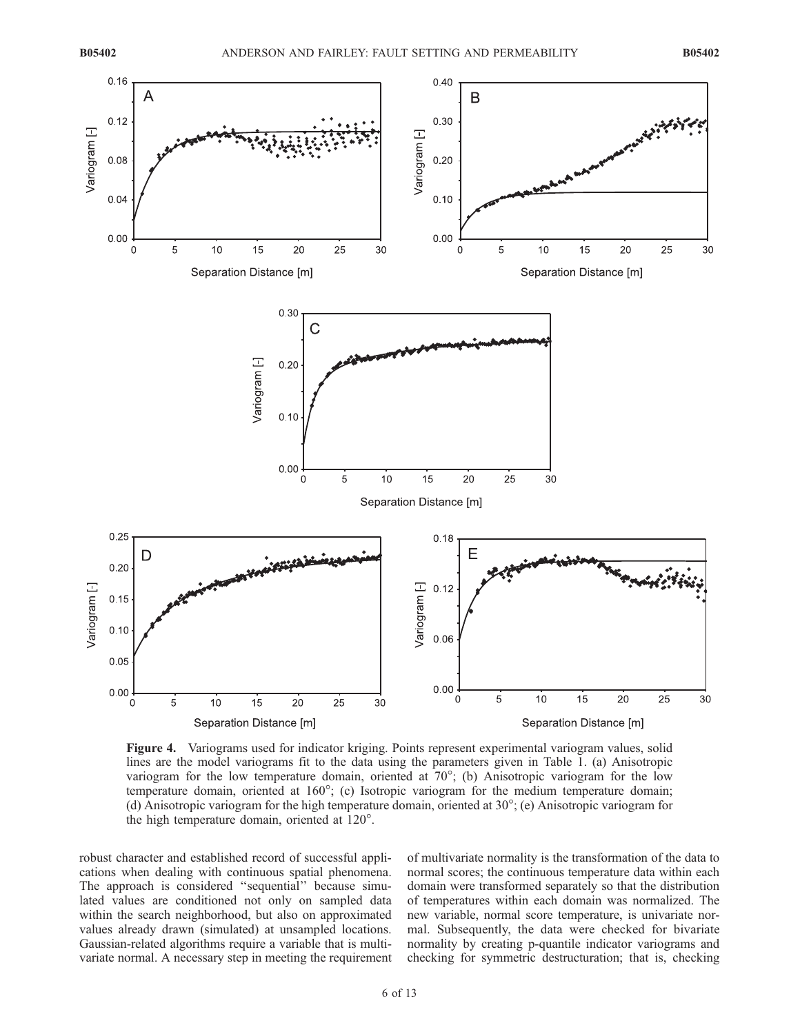

Figure 4. Variograms used for indicator kriging. Points represent experimental variogram values, solid lines are the model variograms fit to the data using the parameters given in Table 1. (a) Anisotropic variogram for the low temperature domain, oriented at  $70^{\circ}$ ; (b) Anisotropic variogram for the low temperature domain, oriented at 160°; (c) Isotropic variogram for the medium temperature domain; (d) Anisotropic variogram for the high temperature domain, oriented at  $30^{\circ}$ ; (e) Anisotropic variogram for the high temperature domain, oriented at  $120^\circ$ .

robust character and established record of successful applications when dealing with continuous spatial phenomena. The approach is considered ''sequential'' because simulated values are conditioned not only on sampled data within the search neighborhood, but also on approximated values already drawn (simulated) at unsampled locations. Gaussian-related algorithms require a variable that is multivariate normal. A necessary step in meeting the requirement

of multivariate normality is the transformation of the data to normal scores; the continuous temperature data within each domain were transformed separately so that the distribution of temperatures within each domain was normalized. The new variable, normal score temperature, is univariate normal. Subsequently, the data were checked for bivariate normality by creating p-quantile indicator variograms and checking for symmetric destructuration; that is, checking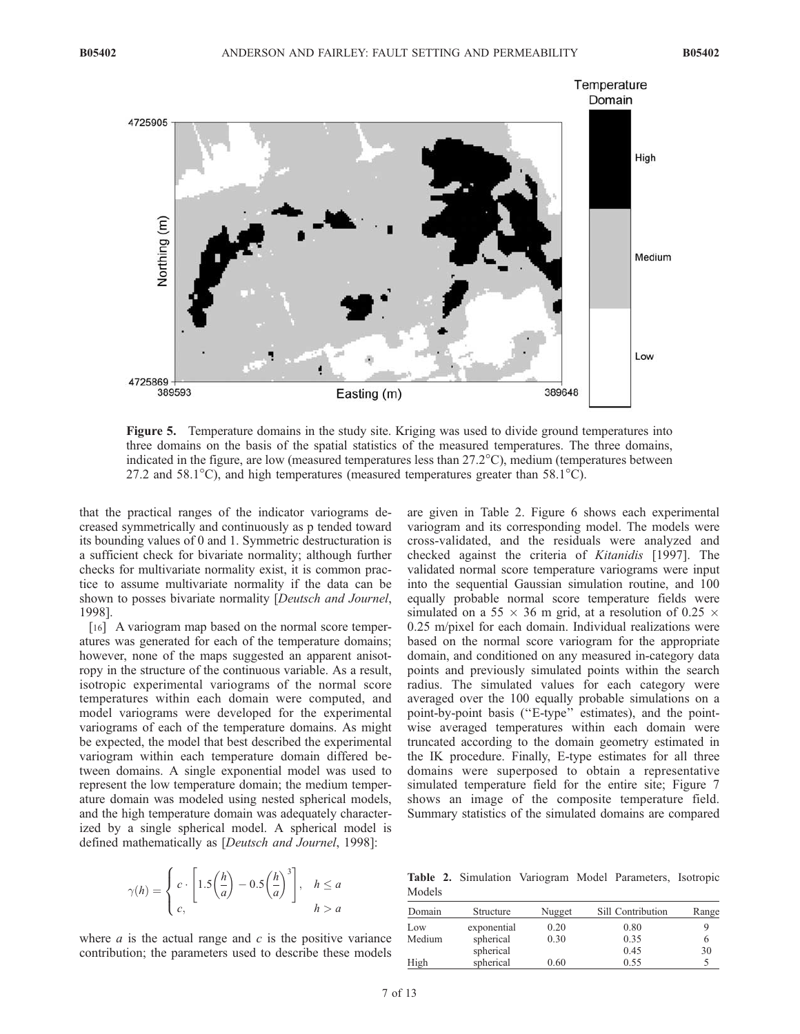

Figure 5. Temperature domains in the study site. Kriging was used to divide ground temperatures into three domains on the basis of the spatial statistics of the measured temperatures. The three domains, indicated in the figure, are low (measured temperatures less than 27.2°C), medium (temperatures between 27.2 and 58.1 $^{\circ}$ C), and high temperatures (measured temperatures greater than 58.1 $^{\circ}$ C).

that the practical ranges of the indicator variograms decreased symmetrically and continuously as p tended toward its bounding values of 0 and 1. Symmetric destructuration is a sufficient check for bivariate normality; although further checks for multivariate normality exist, it is common practice to assume multivariate normality if the data can be shown to posses bivariate normality [Deutsch and Journel, 1998].

[16] A variogram map based on the normal score temperatures was generated for each of the temperature domains; however, none of the maps suggested an apparent anisotropy in the structure of the continuous variable. As a result, isotropic experimental variograms of the normal score temperatures within each domain were computed, and model variograms were developed for the experimental variograms of each of the temperature domains. As might be expected, the model that best described the experimental variogram within each temperature domain differed between domains. A single exponential model was used to represent the low temperature domain; the medium temperature domain was modeled using nested spherical models, and the high temperature domain was adequately characterized by a single spherical model. A spherical model is defined mathematically as [Deutsch and Journel, 1998]:

$$
\gamma(h) = \begin{cases} c \cdot \left[ 1.5 \left( \frac{h}{a} \right) - 0.5 \left( \frac{h}{a} \right)^3 \right], & h \le a \\ c, & h > a \end{cases}
$$

where  $a$  is the actual range and  $c$  is the positive variance contribution; the parameters used to describe these models

are given in Table 2. Figure 6 shows each experimental variogram and its corresponding model. The models were cross-validated, and the residuals were analyzed and checked against the criteria of Kitanidis [1997]. The validated normal score temperature variograms were input into the sequential Gaussian simulation routine, and 100 equally probable normal score temperature fields were simulated on a 55  $\times$  36 m grid, at a resolution of 0.25  $\times$ 0.25 m/pixel for each domain. Individual realizations were based on the normal score variogram for the appropriate domain, and conditioned on any measured in-category data points and previously simulated points within the search radius. The simulated values for each category were averaged over the 100 equally probable simulations on a point-by-point basis (''E-type'' estimates), and the pointwise averaged temperatures within each domain were truncated according to the domain geometry estimated in the IK procedure. Finally, E-type estimates for all three domains were superposed to obtain a representative simulated temperature field for the entire site; Figure 7 shows an image of the composite temperature field. Summary statistics of the simulated domains are compared

Table 2. Simulation Variogram Model Parameters, Isotropic Models

| Domain | Structure   | Nugget | Sill Contribution | Range |  |
|--------|-------------|--------|-------------------|-------|--|
| Low    | exponential | 0.20   | 0.80              |       |  |
| Medium | spherical   | 0.30   | 0.35              |       |  |
|        | spherical   |        | 0.45              | 30    |  |
| High   | spherical   | 0.60   | 0.55              |       |  |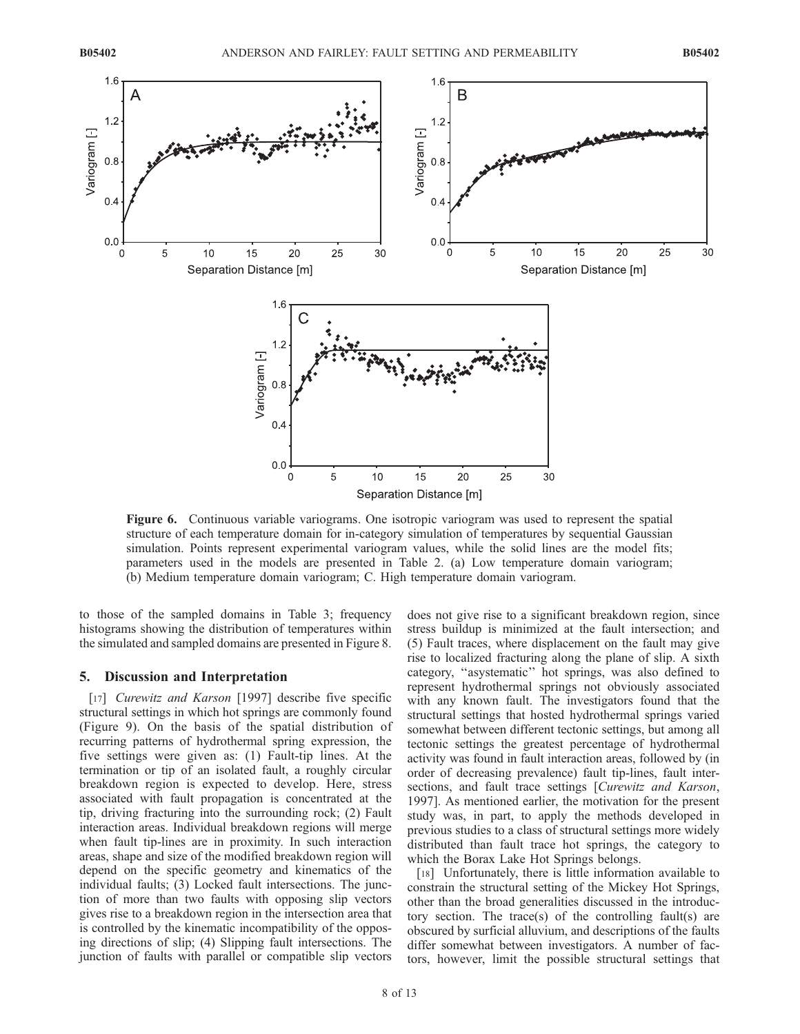

Figure 6. Continuous variable variograms. One isotropic variogram was used to represent the spatial structure of each temperature domain for in-category simulation of temperatures by sequential Gaussian simulation. Points represent experimental variogram values, while the solid lines are the model fits; parameters used in the models are presented in Table 2. (a) Low temperature domain variogram; (b) Medium temperature domain variogram; C. High temperature domain variogram.

to those of the sampled domains in Table 3; frequency histograms showing the distribution of temperatures within the simulated and sampled domains are presented in Figure 8.

## 5. Discussion and Interpretation

[17] Curewitz and Karson [1997] describe five specific structural settings in which hot springs are commonly found (Figure 9). On the basis of the spatial distribution of recurring patterns of hydrothermal spring expression, the five settings were given as: (1) Fault-tip lines. At the termination or tip of an isolated fault, a roughly circular breakdown region is expected to develop. Here, stress associated with fault propagation is concentrated at the tip, driving fracturing into the surrounding rock; (2) Fault interaction areas. Individual breakdown regions will merge when fault tip-lines are in proximity. In such interaction areas, shape and size of the modified breakdown region will depend on the specific geometry and kinematics of the individual faults; (3) Locked fault intersections. The junction of more than two faults with opposing slip vectors gives rise to a breakdown region in the intersection area that is controlled by the kinematic incompatibility of the opposing directions of slip; (4) Slipping fault intersections. The junction of faults with parallel or compatible slip vectors

does not give rise to a significant breakdown region, since stress buildup is minimized at the fault intersection; and (5) Fault traces, where displacement on the fault may give rise to localized fracturing along the plane of slip. A sixth category, ''asystematic'' hot springs, was also defined to represent hydrothermal springs not obviously associated with any known fault. The investigators found that the structural settings that hosted hydrothermal springs varied somewhat between different tectonic settings, but among all tectonic settings the greatest percentage of hydrothermal activity was found in fault interaction areas, followed by (in order of decreasing prevalence) fault tip-lines, fault intersections, and fault trace settings [Curewitz and Karson, 1997]. As mentioned earlier, the motivation for the present study was, in part, to apply the methods developed in previous studies to a class of structural settings more widely distributed than fault trace hot springs, the category to which the Borax Lake Hot Springs belongs.

[18] Unfortunately, there is little information available to constrain the structural setting of the Mickey Hot Springs, other than the broad generalities discussed in the introductory section. The trace(s) of the controlling fault(s) are obscured by surficial alluvium, and descriptions of the faults differ somewhat between investigators. A number of factors, however, limit the possible structural settings that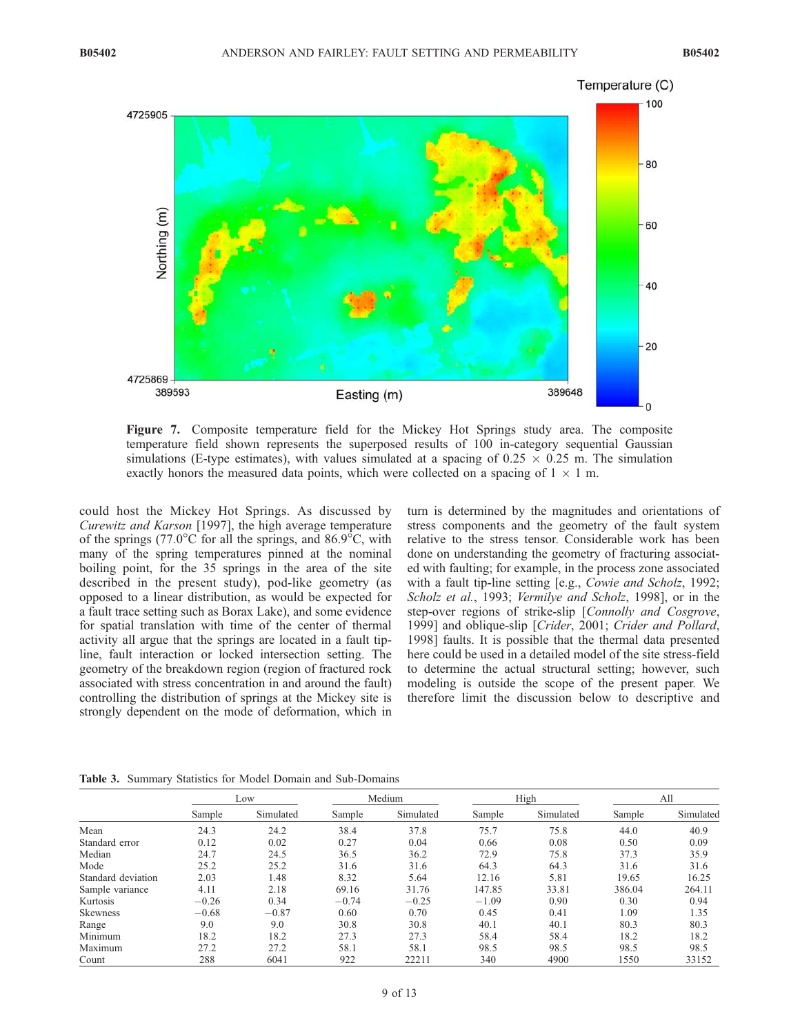

Figure 7. Composite temperature field for the Mickey Hot Springs study area. The composite temperature field shown represents the superposed results of 100 in-category sequential Gaussian simulations (E-type estimates), with values simulated at a spacing of  $0.25 \times 0.25$  m. The simulation exactly honors the measured data points, which were collected on a spacing of  $1 \times 1$  m.

could host the Mickey Hot Springs. As discussed by Curewitz and Karson [1997], the high average temperature of the springs (77.0 $\degree$ C for all the springs, and 86.9 $\degree$ C, with many of the spring temperatures pinned at the nominal boiling point, for the 35 springs in the area of the site described in the present study), pod-like geometry (as opposed to a linear distribution, as would be expected for a fault trace setting such as Borax Lake), and some evidence for spatial translation with time of the center of thermal activity all argue that the springs are located in a fault tipline, fault interaction or locked intersection setting. The geometry of the breakdown region (region of fractured rock associated with stress concentration in and around the fault) controlling the distribution of springs at the Mickey site is strongly dependent on the mode of deformation, which in

turn is determined by the magnitudes and orientations of stress components and the geometry of the fault system relative to the stress tensor. Considerable work has been done on understanding the geometry of fracturing associated with faulting; for example, in the process zone associated with a fault tip-line setting [e.g., Cowie and Scholz, 1992; Scholz et al., 1993; Vermilye and Scholz, 1998], or in the step-over regions of strike-slip [Connolly and Cosgrove, 1999] and oblique-slip [Crider, 2001; Crider and Pollard, 1998] faults. It is possible that the thermal data presented here could be used in a detailed model of the site stress-field to determine the actual structural setting; however, such modeling is outside the scope of the present paper. We therefore limit the discussion below to descriptive and

Table 3. Summary Statistics for Model Domain and Sub-Domains

|                    | Low     |           | Medium  |           | High    |           | All    |           |
|--------------------|---------|-----------|---------|-----------|---------|-----------|--------|-----------|
|                    | Sample  | Simulated | Sample  | Simulated | Sample  | Simulated | Sample | Simulated |
| Mean               | 24.3    | 24.2      | 38.4    | 37.8      | 75.7    | 75.8      | 44.0   | 40.9      |
| Standard error     | 0.12    | 0.02      | 0.27    | 0.04      | 0.66    | 0.08      | 0.50   | 0.09      |
| Median             | 24.7    | 24.5      | 36.5    | 36.2      | 72.9    | 75.8      | 37.3   | 35.9      |
| Mode               | 25.2    | 25.2      | 31.6    | 31.6      | 64.3    | 64.3      | 31.6   | 31.6      |
| Standard deviation | 2.03    | 1.48      | 8.32    | 5.64      | 12.16   | 5.81      | 19.65  | 16.25     |
| Sample variance    | 4.11    | 2.18      | 69.16   | 31.76     | 147.85  | 33.81     | 386.04 | 264.11    |
| Kurtosis           | $-0.26$ | 0.34      | $-0.74$ | $-0.25$   | $-1.09$ | 0.90      | 0.30   | 0.94      |
| Skewness           | $-0.68$ | $-0.87$   | 0.60    | 0.70      | 0.45    | 0.41      | 1.09   | 1.35      |
| Range              | 9.0     | 9.0       | 30.8    | 30.8      | 40.1    | 40.1      | 80.3   | 80.3      |
| Minimum            | 18.2    | 18.2      | 27.3    | 27.3      | 58.4    | 58.4      | 18.2   | 18.2      |
| Maximum            | 27.2    | 27.2      | 58.1    | 58.1      | 98.5    | 98.5      | 98.5   | 98.5      |
| Count              | 288     | 6041      | 922     | 22211     | 340     | 4900      | 1550   | 33152     |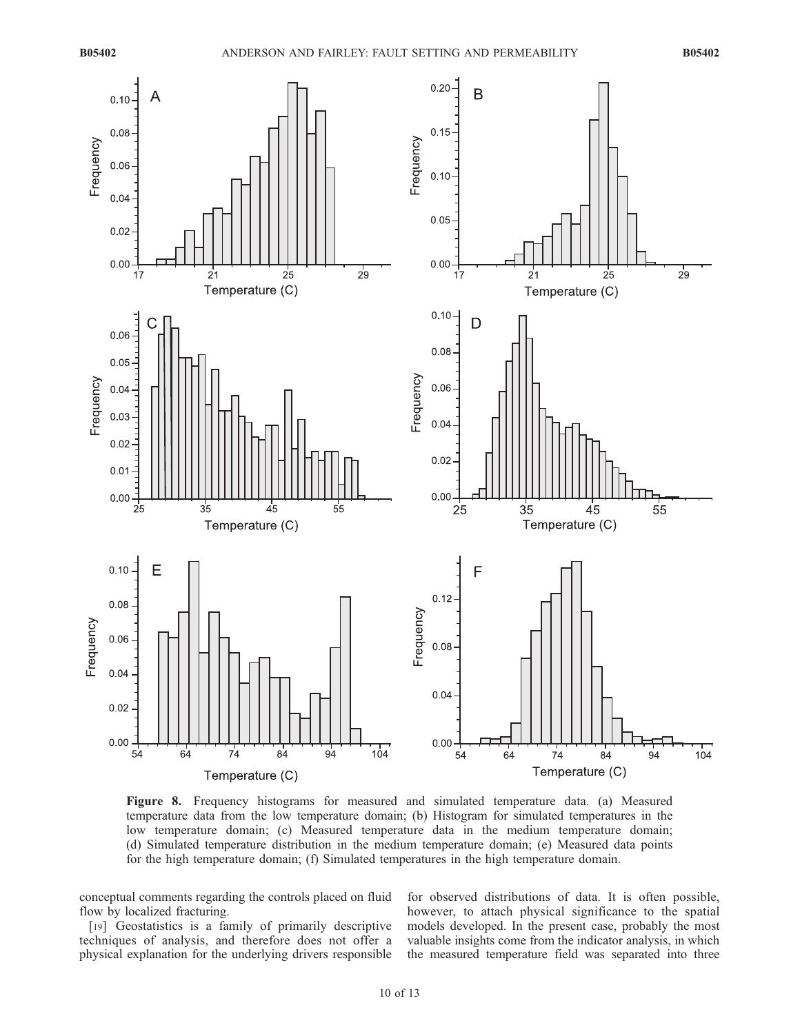

Figure 8. Frequency histograms for measured and simulated temperature data. (a) Measured temperature data from the low temperature domain; (b) Histogram for simulated temperatures in the low temperature domain; (c) Measured temperature data in the medium temperature domain; (d) Simulated temperature distribution in the medium temperature domain; (e) Measured data points for the high temperature domain; (f) Simulated temperatures in the high temperature domain.

conceptual comments regarding the controls placed on fluid flow by localized fracturing.

[19] Geostatistics is a family of primarily descriptive techniques of analysis, and therefore does not offer a physical explanation for the underlying drivers responsible for observed distributions of data. It is often possible, however, to attach physical significance to the spatial models developed. In the present case, probably the most valuable insights come from the indicator analysis, in which the measured temperature field was separated into three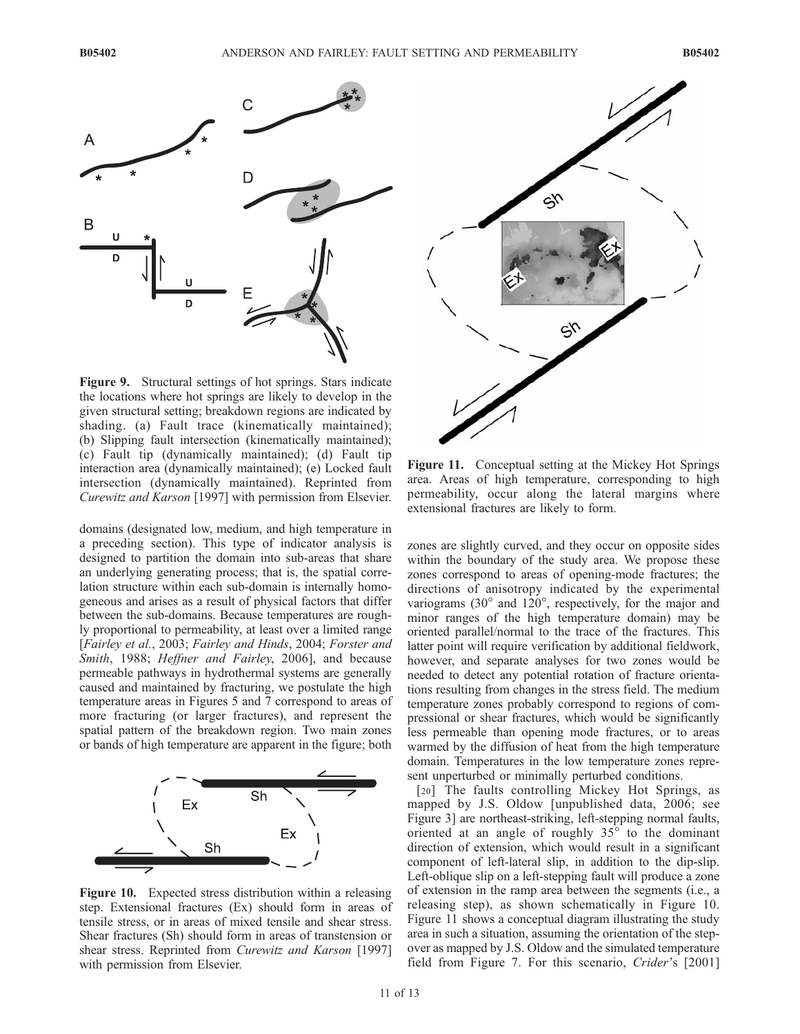

Figure 9. Structural settings of hot springs. Stars indicate the locations where hot springs are likely to develop in the given structural setting; breakdown regions are indicated by shading. (a) Fault trace (kinematically maintained); (b) Slipping fault intersection (kinematically maintained); (c) Fault tip (dynamically maintained); (d) Fault tip interaction area (dynamically maintained); (e) Locked fault intersection (dynamically maintained). Reprinted from Curewitz and Karson [1997] with permission from Elsevier.

domains (designated low, medium, and high temperature in a preceding section). This type of indicator analysis is designed to partition the domain into sub-areas that share an underlying generating process; that is, the spatial correlation structure within each sub-domain is internally homogeneous and arises as a result of physical factors that differ between the sub-domains. Because temperatures are roughly proportional to permeability, at least over a limited range [Fairley et al., 2003; Fairley and Hinds, 2004; Forster and Smith, 1988; Heffner and Fairley, 2006], and because permeable pathways in hydrothermal systems are generally caused and maintained by fracturing, we postulate the high temperature areas in Figures 5 and 7 correspond to areas of more fracturing (or larger fractures), and represent the spatial pattern of the breakdown region. Two main zones or bands of high temperature are apparent in the figure; both



Figure 10. Expected stress distribution within a releasing step. Extensional fractures (Ex) should form in areas of tensile stress, or in areas of mixed tensile and shear stress. Shear fractures (Sh) should form in areas of transtension or shear stress. Reprinted from *Curewitz and Karson* [1997] with permission from Elsevier.



Figure 11. Conceptual setting at the Mickey Hot Springs area. Areas of high temperature, corresponding to high permeability, occur along the lateral margins where extensional fractures are likely to form.

zones are slightly curved, and they occur on opposite sides within the boundary of the study area. We propose these zones correspond to areas of opening-mode fractures; the directions of anisotropy indicated by the experimental variograms  $(30^{\circ}$  and  $120^{\circ}$ , respectively, for the major and minor ranges of the high temperature domain) may be oriented parallel/normal to the trace of the fractures. This latter point will require verification by additional fieldwork, however, and separate analyses for two zones would be needed to detect any potential rotation of fracture orientations resulting from changes in the stress field. The medium temperature zones probably correspond to regions of compressional or shear fractures, which would be significantly less permeable than opening mode fractures, or to areas warmed by the diffusion of heat from the high temperature domain. Temperatures in the low temperature zones represent unperturbed or minimally perturbed conditions.

[20] The faults controlling Mickey Hot Springs, as mapped by J.S. Oldow [unpublished data, 2006; see Figure 3] are northeast-striking, left-stepping normal faults, oriented at an angle of roughly  $35^\circ$  to the dominant direction of extension, which would result in a significant component of left-lateral slip, in addition to the dip-slip. Left-oblique slip on a left-stepping fault will produce a zone of extension in the ramp area between the segments (i.e., a releasing step), as shown schematically in Figure 10. Figure 11 shows a conceptual diagram illustrating the study area in such a situation, assuming the orientation of the stepover as mapped by J.S. Oldow and the simulated temperature field from Figure 7. For this scenario, Crider's [2001]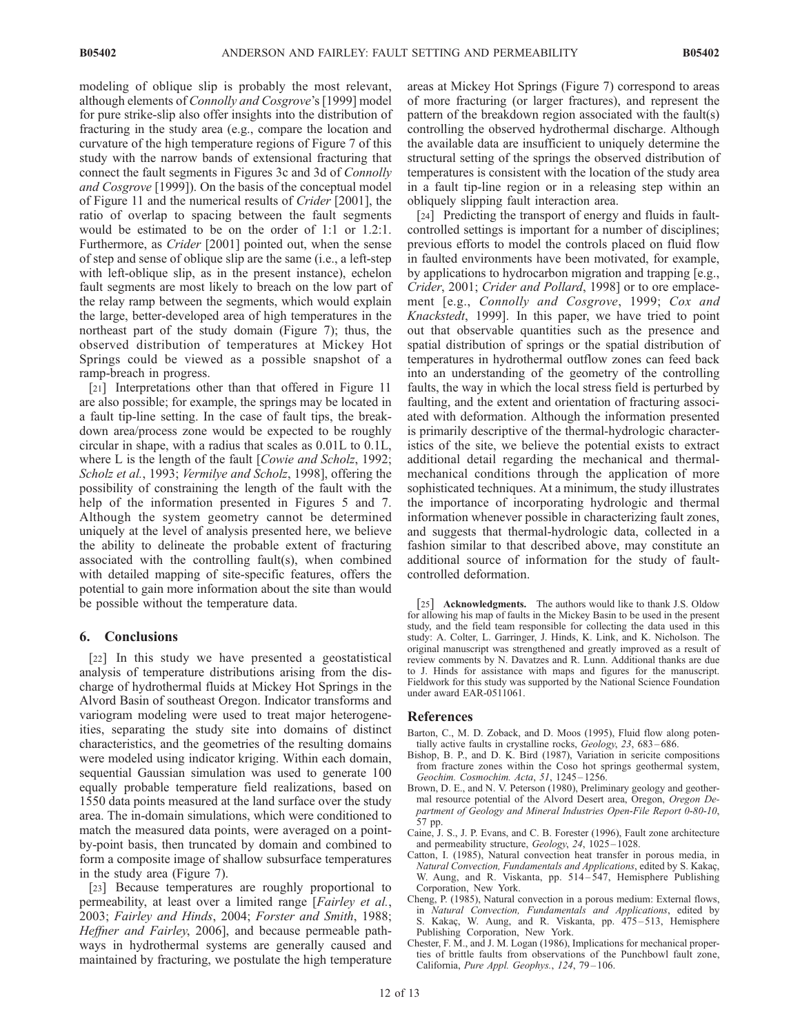modeling of oblique slip is probably the most relevant, although elements of Connolly and Cosgrove's [1999] model for pure strike-slip also offer insights into the distribution of fracturing in the study area (e.g., compare the location and curvature of the high temperature regions of Figure 7 of this study with the narrow bands of extensional fracturing that connect the fault segments in Figures 3c and 3d of Connolly and Cosgrove [1999]). On the basis of the conceptual model of Figure 11 and the numerical results of Crider [2001], the ratio of overlap to spacing between the fault segments would be estimated to be on the order of 1:1 or 1.2:1. Furthermore, as *Crider* [2001] pointed out, when the sense of step and sense of oblique slip are the same (i.e., a left-step with left-oblique slip, as in the present instance), echelon fault segments are most likely to breach on the low part of the relay ramp between the segments, which would explain the large, better-developed area of high temperatures in the northeast part of the study domain (Figure 7); thus, the observed distribution of temperatures at Mickey Hot Springs could be viewed as a possible snapshot of a ramp-breach in progress.

[21] Interpretations other than that offered in Figure 11 are also possible; for example, the springs may be located in a fault tip-line setting. In the case of fault tips, the breakdown area/process zone would be expected to be roughly circular in shape, with a radius that scales as 0.01L to 0.1L, where L is the length of the fault [Cowie and Scholz, 1992; Scholz et al., 1993; Vermilye and Scholz, 1998], offering the possibility of constraining the length of the fault with the help of the information presented in Figures 5 and 7. Although the system geometry cannot be determined uniquely at the level of analysis presented here, we believe the ability to delineate the probable extent of fracturing associated with the controlling fault(s), when combined with detailed mapping of site-specific features, offers the potential to gain more information about the site than would be possible without the temperature data.

# 6. Conclusions

[22] In this study we have presented a geostatistical analysis of temperature distributions arising from the discharge of hydrothermal fluids at Mickey Hot Springs in the Alvord Basin of southeast Oregon. Indicator transforms and variogram modeling were used to treat major heterogeneities, separating the study site into domains of distinct characteristics, and the geometries of the resulting domains were modeled using indicator kriging. Within each domain, sequential Gaussian simulation was used to generate 100 equally probable temperature field realizations, based on 1550 data points measured at the land surface over the study area. The in-domain simulations, which were conditioned to match the measured data points, were averaged on a pointby-point basis, then truncated by domain and combined to form a composite image of shallow subsurface temperatures in the study area (Figure 7).

[23] Because temperatures are roughly proportional to permeability, at least over a limited range [Fairley et al., 2003; Fairley and Hinds, 2004; Forster and Smith, 1988; Heffner and Fairley, 2006], and because permeable pathways in hydrothermal systems are generally caused and maintained by fracturing, we postulate the high temperature areas at Mickey Hot Springs (Figure 7) correspond to areas of more fracturing (or larger fractures), and represent the pattern of the breakdown region associated with the fault(s) controlling the observed hydrothermal discharge. Although the available data are insufficient to uniquely determine the structural setting of the springs the observed distribution of temperatures is consistent with the location of the study area in a fault tip-line region or in a releasing step within an obliquely slipping fault interaction area.

[24] Predicting the transport of energy and fluids in faultcontrolled settings is important for a number of disciplines; previous efforts to model the controls placed on fluid flow in faulted environments have been motivated, for example, by applications to hydrocarbon migration and trapping [e.g., Crider, 2001; Crider and Pollard, 1998] or to ore emplacement [e.g., Connolly and Cosgrove, 1999; Cox and Knackstedt, 1999]. In this paper, we have tried to point out that observable quantities such as the presence and spatial distribution of springs or the spatial distribution of temperatures in hydrothermal outflow zones can feed back into an understanding of the geometry of the controlling faults, the way in which the local stress field is perturbed by faulting, and the extent and orientation of fracturing associated with deformation. Although the information presented is primarily descriptive of the thermal-hydrologic characteristics of the site, we believe the potential exists to extract additional detail regarding the mechanical and thermalmechanical conditions through the application of more sophisticated techniques. At a minimum, the study illustrates the importance of incorporating hydrologic and thermal information whenever possible in characterizing fault zones, and suggests that thermal-hydrologic data, collected in a fashion similar to that described above, may constitute an additional source of information for the study of faultcontrolled deformation.

[25] **Acknowledgments.** The authors would like to thank J.S. Oldow for allowing his map of faults in the Mickey Basin to be used in the present study, and the field team responsible for collecting the data used in this study: A. Colter, L. Garringer, J. Hinds, K. Link, and K. Nicholson. The original manuscript was strengthened and greatly improved as a result of review comments by N. Davatzes and R. Lunn. Additional thanks are due to J. Hinds for assistance with maps and figures for the manuscript. Fieldwork for this study was supported by the National Science Foundation under award EAR-0511061.

#### References

- Barton, C., M. D. Zoback, and D. Moos (1995), Fluid flow along potentially active faults in crystalline rocks, Geology, 23, 683-686.
- Bishop, B. P., and D. K. Bird (1987), Variation in sericite compositions from fracture zones within the Coso hot springs geothermal system, Geochim. Cosmochim. Acta, 51, 1245 – 1256.
- Brown, D. E., and N. V. Peterson (1980), Preliminary geology and geothermal resource potential of the Alvord Desert area, Oregon, Oregon Department of Geology and Mineral Industries Open-File Report 0-80-10, 57 pp.
- Caine, J. S., J. P. Evans, and C. B. Forester (1996), Fault zone architecture and permeability structure, Geology, 24, 1025-1028.
- Catton, I. (1985), Natural convection heat transfer in porous media, in Natural Convection, Fundamentals and Applications, edited by S. Kakaç, W. Aung, and R. Viskanta, pp. 514-547, Hemisphere Publishing Corporation, New York.
- Cheng, P. (1985), Natural convection in a porous medium: External flows, in Natural Convection, Fundamentals and Applications, edited by S. Kakaç, W. Aung, and R. Viskanta, pp. 475-513, Hemisphere Publishing Corporation, New York.
- Chester, F. M., and J. M. Logan (1986), Implications for mechanical properties of brittle faults from observations of the Punchbowl fault zone, California, Pure Appl. Geophys., 124, 79 – 106.